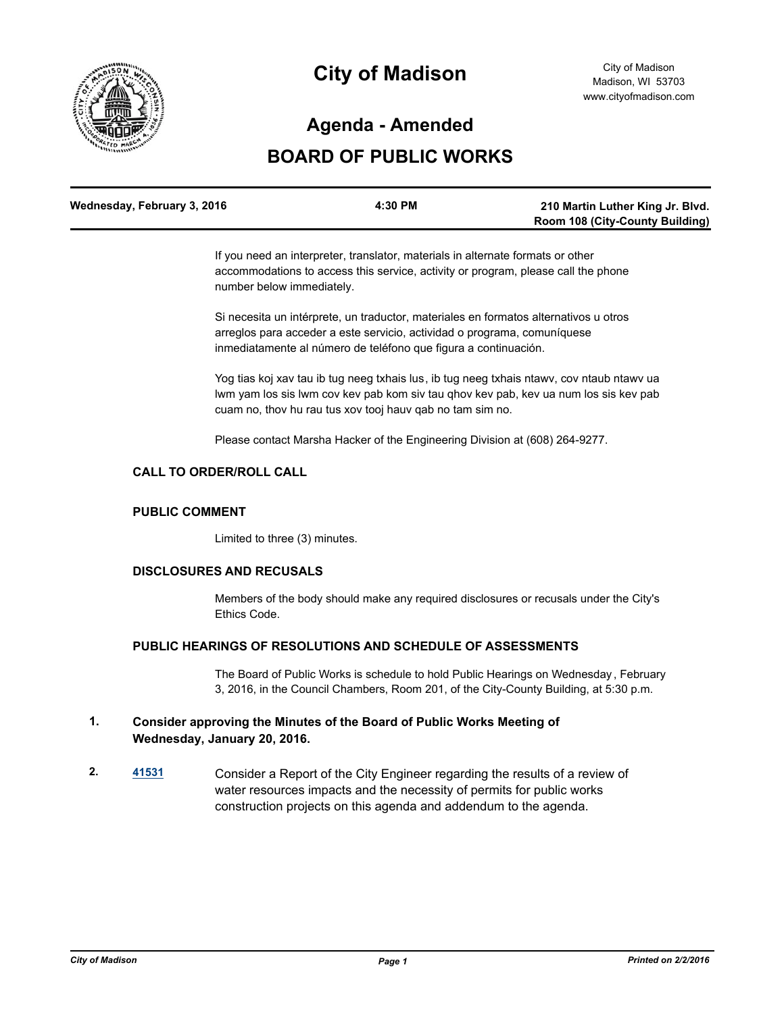

# **City of Madison**

# **Agenda - Amended**

# **BOARD OF PUBLIC WORKS**

| Wednesday, February 3, 2016 | 4:30 PM | 210 Martin Luther King Jr. Blvd.       |
|-----------------------------|---------|----------------------------------------|
|                             |         | <b>Room 108 (City-County Building)</b> |

If you need an interpreter, translator, materials in alternate formats or other accommodations to access this service, activity or program, please call the phone number below immediately.

Si necesita un intérprete, un traductor, materiales en formatos alternativos u otros arreglos para acceder a este servicio, actividad o programa, comuníquese inmediatamente al número de teléfono que figura a continuación.

Yog tias koj xav tau ib tug neeg txhais lus, ib tug neeg txhais ntawv, cov ntaub ntawv ua lwm yam los sis lwm cov kev pab kom siv tau qhov kev pab, kev ua num los sis kev pab cuam no, thov hu rau tus xov tooj hauv qab no tam sim no.

Please contact Marsha Hacker of the Engineering Division at (608) 264-9277.

# **CALL TO ORDER/ROLL CALL**

#### **PUBLIC COMMENT**

Limited to three (3) minutes.

#### **DISCLOSURES AND RECUSALS**

Members of the body should make any required disclosures or recusals under the City's Ethics Code.

### **PUBLIC HEARINGS OF RESOLUTIONS AND SCHEDULE OF ASSESSMENTS**

The Board of Public Works is schedule to hold Public Hearings on Wednesday , February 3, 2016, in the Council Chambers, Room 201, of the City-County Building, at 5:30 p.m.

### **1. Consider approving the Minutes of the Board of Public Works Meeting of Wednesday, January 20, 2016.**

**2. [41531](http://madison.legistar.com/gateway.aspx?m=l&id=/matter.aspx?key=45924)** Consider a Report of the City Engineer regarding the results of a review of water resources impacts and the necessity of permits for public works construction projects on this agenda and addendum to the agenda.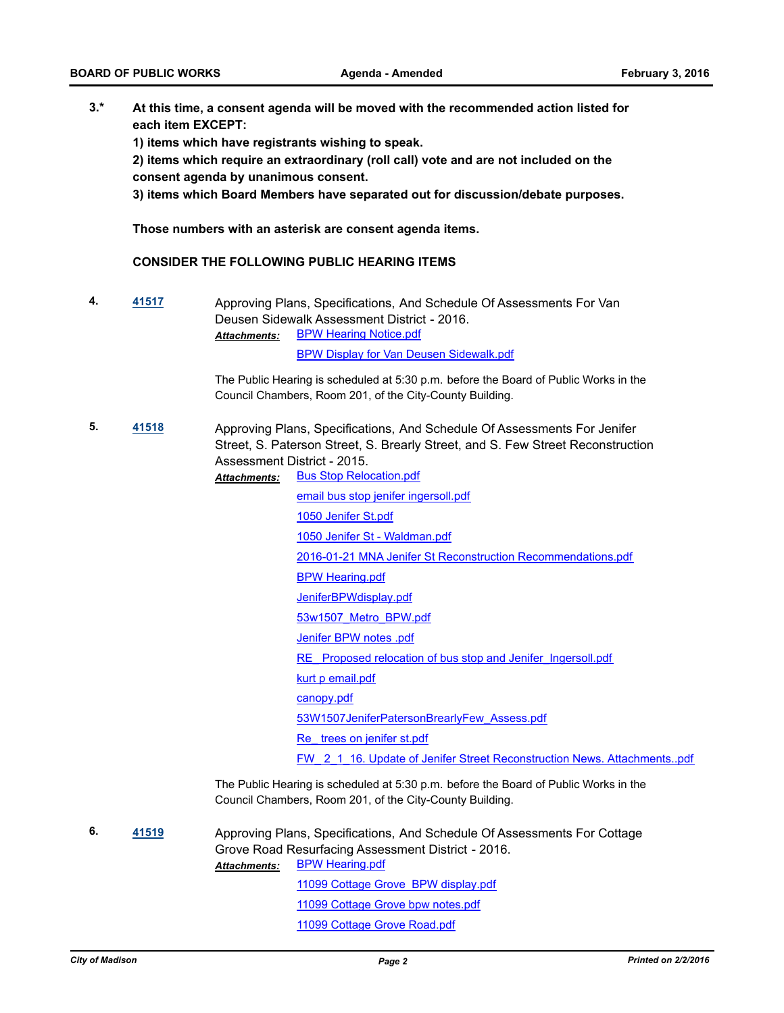**3.\* At this time, a consent agenda will be moved with the recommended action listed for each item EXCEPT:**

**1) items which have registrants wishing to speak.**

**2) items which require an extraordinary (roll call) vote and are not included on the consent agenda by unanimous consent.**

**3) items which Board Members have separated out for discussion/debate purposes.** 

**Those numbers with an asterisk are consent agenda items.**

#### **CONSIDER THE FOLLOWING PUBLIC HEARING ITEMS**

**4. [41517](http://madison.legistar.com/gateway.aspx?m=l&id=/matter.aspx?key=45910)** Approving Plans, Specifications, And Schedule Of Assessments For Van Deusen Sidewalk Assessment District - 2016. [BPW Hearing Notice.pdf](http://madison.legistar.com/gateway.aspx?M=F&ID=a957d615-466b-4c01-a3ce-41107bb14443.pdf) [BPW Display for Van Deusen Sidewalk.pdf](http://madison.legistar.com/gateway.aspx?M=F&ID=040cd662-e766-4a05-a55c-cce175d379a1.pdf) *Attachments:*

> The Public Hearing is scheduled at 5:30 p.m. before the Board of Public Works in the Council Chambers, Room 201, of the City-County Building.

- **5. [41518](http://madison.legistar.com/gateway.aspx?m=l&id=/matter.aspx?key=45911)** Approving Plans, Specifications, And Schedule Of Assessments For Jenifer Street, S. Paterson Street, S. Brearly Street, and S. Few Street Reconstruction Assessment District - 2015.
	- [Bus Stop Relocation.pdf](http://madison.legistar.com/gateway.aspx?M=F&ID=469d75ad-e42b-4a7f-abc7-7113eceb6140.pdf) [email bus stop jenifer ingersoll.pdf](http://madison.legistar.com/gateway.aspx?M=F&ID=c598b10d-3ad2-43fc-a8de-17c13760284d.pdf) [1050 Jenifer St.pdf](http://madison.legistar.com/gateway.aspx?M=F&ID=064fb38c-2e3a-4d1f-a12b-6e8c33fdd9f7.pdf) [1050 Jenifer St - Waldman.pdf](http://madison.legistar.com/gateway.aspx?M=F&ID=e8706d0d-0e88-473b-8622-8a985fc8b493.pdf) [2016-01-21 MNA Jenifer St Reconstruction Recommendations.pdf](http://madison.legistar.com/gateway.aspx?M=F&ID=2a6bacbf-3d6e-42b4-9df4-540480742c6b.pdf) [BPW Hearing.pdf](http://madison.legistar.com/gateway.aspx?M=F&ID=3b703e66-e6f4-46ab-9dee-c04c0580660a.pdf) [JeniferBPWdisplay.pdf](http://madison.legistar.com/gateway.aspx?M=F&ID=abbc3510-a843-4608-b1d7-2df21576cdd0.pdf) [53w1507\\_Metro\\_BPW.pdf](http://madison.legistar.com/gateway.aspx?M=F&ID=0c917d64-2f88-4505-b387-2aa71ec7901a.pdf) [Jenifer BPW notes .pdf](http://madison.legistar.com/gateway.aspx?M=F&ID=4a33d995-798c-47de-99a3-2c95e78a737e.pdf) RE Proposed relocation of bus stop and Jenifer Ingersoll.pdf [kurt p email.pdf](http://madison.legistar.com/gateway.aspx?M=F&ID=078f7e27-1894-4ce2-955f-ab9a0a72597b.pdf) [canopy.pdf](http://madison.legistar.com/gateway.aspx?M=F&ID=fd608186-19e3-40e0-9d92-129590ef5bdd.pdf) [53W1507JeniferPatersonBrearlyFew\\_Assess.pdf](http://madison.legistar.com/gateway.aspx?M=F&ID=5b0fdfbb-5f43-4cda-8e63-b51685407f31.pdf) [Re\\_ trees on jenifer st.pdf](http://madison.legistar.com/gateway.aspx?M=F&ID=8fb4b168-2ca9-456b-886d-222bbb117d7b.pdf) FW 2\_1\_16. Update of Jenifer Street Reconstruction News. Attachments..pdf *Attachments:*

The Public Hearing is scheduled at 5:30 p.m. before the Board of Public Works in the Council Chambers, Room 201, of the City-County Building.

**6. [41519](http://madison.legistar.com/gateway.aspx?m=l&id=/matter.aspx?key=45912)** Approving Plans, Specifications, And Schedule Of Assessments For Cottage Grove Road Resurfacing Assessment District - 2016. [BPW Hearing.pdf](http://madison.legistar.com/gateway.aspx?M=F&ID=b9b8426c-d2d8-4322-bdd9-44ce56811607.pdf) [11099 Cottage Grove BPW display.pdf](http://madison.legistar.com/gateway.aspx?M=F&ID=23468a07-2359-493e-a186-f6e6c24790b6.pdf) [11099 Cottage Grove bpw notes.pdf](http://madison.legistar.com/gateway.aspx?M=F&ID=d1613d24-36a3-4e4b-8115-5af0ae5f7a0e.pdf) [11099 Cottage Grove Road.pdf](http://madison.legistar.com/gateway.aspx?M=F&ID=b380a10c-7418-44d4-8d5a-eadf9aa0dca8.pdf) *Attachments:*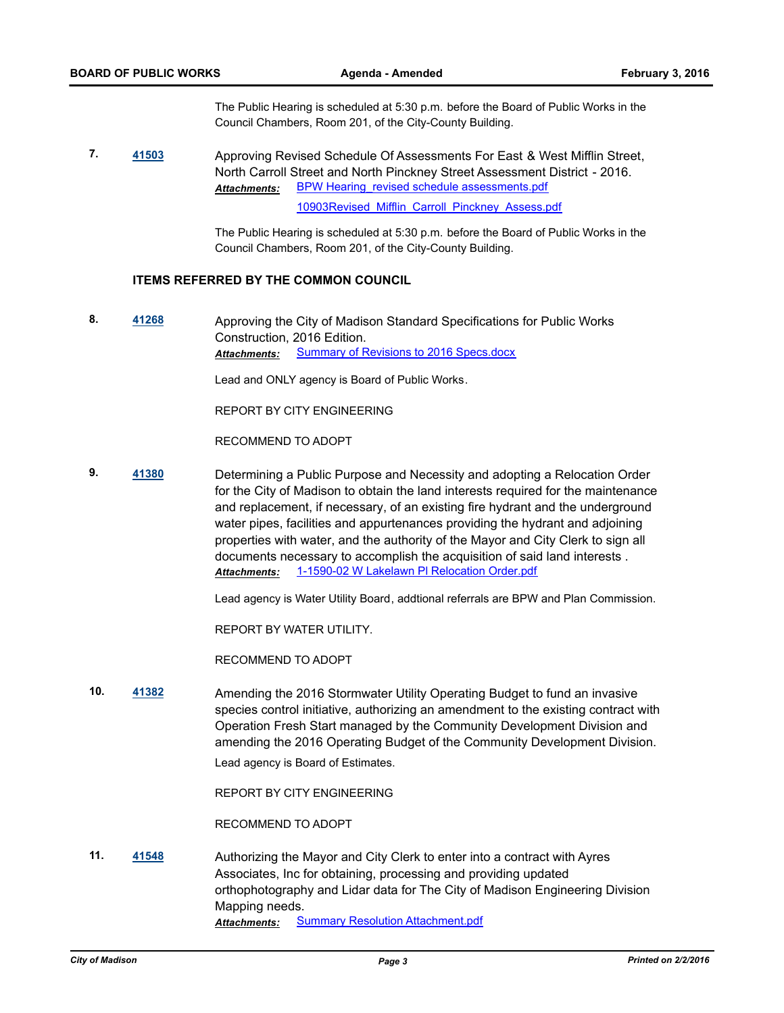The Public Hearing is scheduled at 5:30 p.m. before the Board of Public Works in the Council Chambers, Room 201, of the City-County Building.

**7. [41503](http://madison.legistar.com/gateway.aspx?m=l&id=/matter.aspx?key=45896)** Approving Revised Schedule Of Assessments For East & West Mifflin Street, North Carroll Street and North Pinckney Street Assessment District - 2016. BPW Hearing revised schedule assessments.pdf [10903Revised\\_Mifflin\\_Carroll\\_Pinckney\\_Assess.pdf](http://madison.legistar.com/gateway.aspx?M=F&ID=15728b9f-2b10-47b3-95eb-31b0d2868a50.pdf) *Attachments:*

> The Public Hearing is scheduled at 5:30 p.m. before the Board of Public Works in the Council Chambers, Room 201, of the City-County Building.

#### **ITEMS REFERRED BY THE COMMON COUNCIL**

**8. [41268](http://madison.legistar.com/gateway.aspx?m=l&id=/matter.aspx?key=45702)** Approving the City of Madison Standard Specifications for Public Works Construction, 2016 Edition. Attachments: [Summary of Revisions to 2016 Specs.docx](http://madison.legistar.com/gateway.aspx?M=F&ID=5f66e687-a3ef-4b38-a167-645e5a0c846d.docx)

Lead and ONLY agency is Board of Public Works.

REPORT BY CITY ENGINEERING

RECOMMEND TO ADOPT

**9. [41380](http://madison.legistar.com/gateway.aspx?m=l&id=/matter.aspx?key=45792)** Determining a Public Purpose and Necessity and adopting a Relocation Order for the City of Madison to obtain the land interests required for the maintenance and replacement, if necessary, of an existing fire hydrant and the underground water pipes, facilities and appurtenances providing the hydrant and adjoining properties with water, and the authority of the Mayor and City Clerk to sign all documents necessary to accomplish the acquisition of said land interests . *Attachments:* [1-1590-02 W Lakelawn Pl Relocation Order.pdf](http://madison.legistar.com/gateway.aspx?M=F&ID=d302d371-0965-422d-8e9c-d7c496b4b37e.pdf)

Lead agency is Water Utility Board, addtional referrals are BPW and Plan Commission.

REPORT BY WATER UTILITY.

RECOMMEND TO ADOPT

**10. [41382](http://madison.legistar.com/gateway.aspx?m=l&id=/matter.aspx?key=45794)** Amending the 2016 Stormwater Utility Operating Budget to fund an invasive species control initiative, authorizing an amendment to the existing contract with Operation Fresh Start managed by the Community Development Division and amending the 2016 Operating Budget of the Community Development Division.

Lead agency is Board of Estimates.

REPORT BY CITY ENGINEERING

RECOMMEND TO ADOPT

**11. [41548](http://madison.legistar.com/gateway.aspx?m=l&id=/matter.aspx?key=45941)** Authorizing the Mayor and City Clerk to enter into a contract with Ayres Associates, Inc for obtaining, processing and providing updated orthophotography and Lidar data for The City of Madison Engineering Division Mapping needs. *Attachments:* [Summary Resolution Attachment.pdf](http://madison.legistar.com/gateway.aspx?M=F&ID=49c79f76-61ae-40a9-b0ca-d9bd45019704.pdf)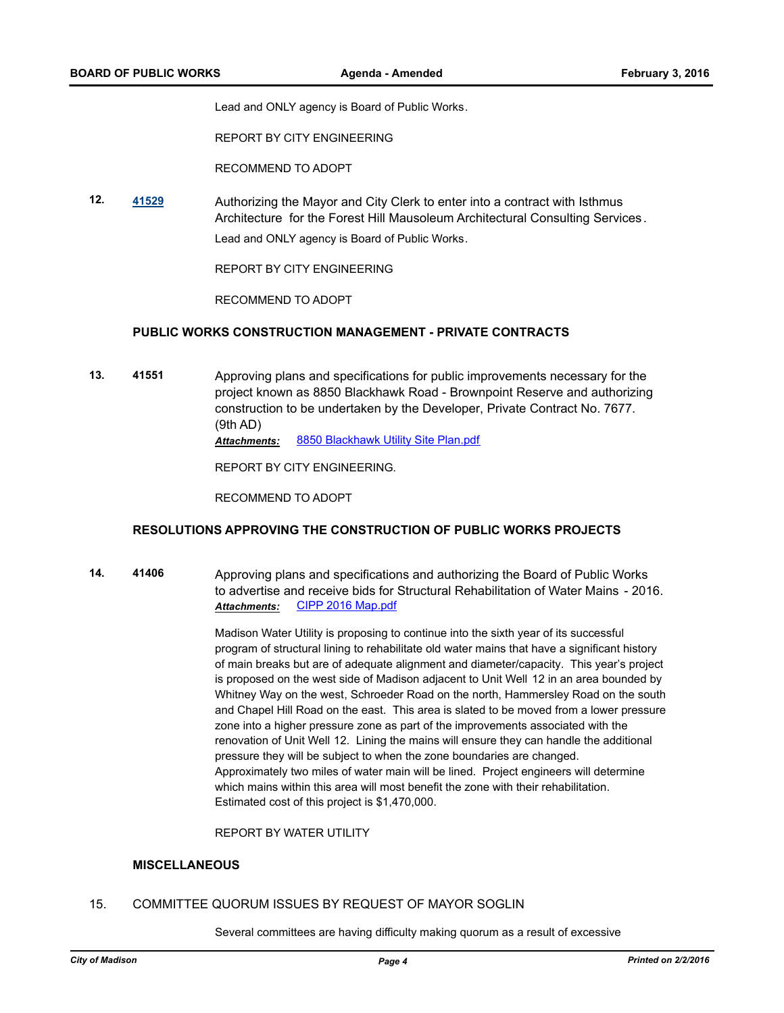Lead and ONLY agency is Board of Public Works.

REPORT BY CITY ENGINEERING

RECOMMEND TO ADOPT

**12. [41529](http://madison.legistar.com/gateway.aspx?m=l&id=/matter.aspx?key=45922)** Authorizing the Mayor and City Clerk to enter into a contract with Isthmus Architecture for the Forest Hill Mausoleum Architectural Consulting Services. Lead and ONLY agency is Board of Public Works.

REPORT BY CITY ENGINEERING

RECOMMEND TO ADOPT

#### **PUBLIC WORKS CONSTRUCTION MANAGEMENT - PRIVATE CONTRACTS**

**13. 41551** Approving plans and specifications for public improvements necessary for the project known as 8850 Blackhawk Road - Brownpoint Reserve and authorizing construction to be undertaken by the Developer, Private Contract No. 7677. (9th AD) *Attachments:* [8850 Blackhawk Utility Site Plan.pdf](http://madison.legistar.com/gateway.aspx?M=F&ID=f411aae2-11e2-4da9-840e-a5d1606928dc.pdf)

REPORT BY CITY ENGINEERING.

RECOMMEND TO ADOPT

#### **RESOLUTIONS APPROVING THE CONSTRUCTION OF PUBLIC WORKS PROJECTS**

**14. 41406** Approving plans and specifications and authorizing the Board of Public Works to advertise and receive bids for Structural Rehabilitation of Water Mains - 2016. *Attachments:* [CIPP 2016 Map.pdf](http://madison.legistar.com/gateway.aspx?M=F&ID=f783e1a2-7a25-4027-99c5-b4b141b84671.pdf)

> Madison Water Utility is proposing to continue into the sixth year of its successful program of structural lining to rehabilitate old water mains that have a significant history of main breaks but are of adequate alignment and diameter/capacity. This year's project is proposed on the west side of Madison adjacent to Unit Well 12 in an area bounded by Whitney Way on the west, Schroeder Road on the north, Hammersley Road on the south and Chapel Hill Road on the east. This area is slated to be moved from a lower pressure zone into a higher pressure zone as part of the improvements associated with the renovation of Unit Well 12. Lining the mains will ensure they can handle the additional pressure they will be subject to when the zone boundaries are changed. Approximately two miles of water main will be lined. Project engineers will determine which mains within this area will most benefit the zone with their rehabilitation. Estimated cost of this project is \$1,470,000.

REPORT BY WATER UTILITY

#### **MISCELLANEOUS**

#### 15. COMMITTEE QUORUM ISSUES BY REQUEST OF MAYOR SOGLIN

Several committees are having difficulty making quorum as a result of excessive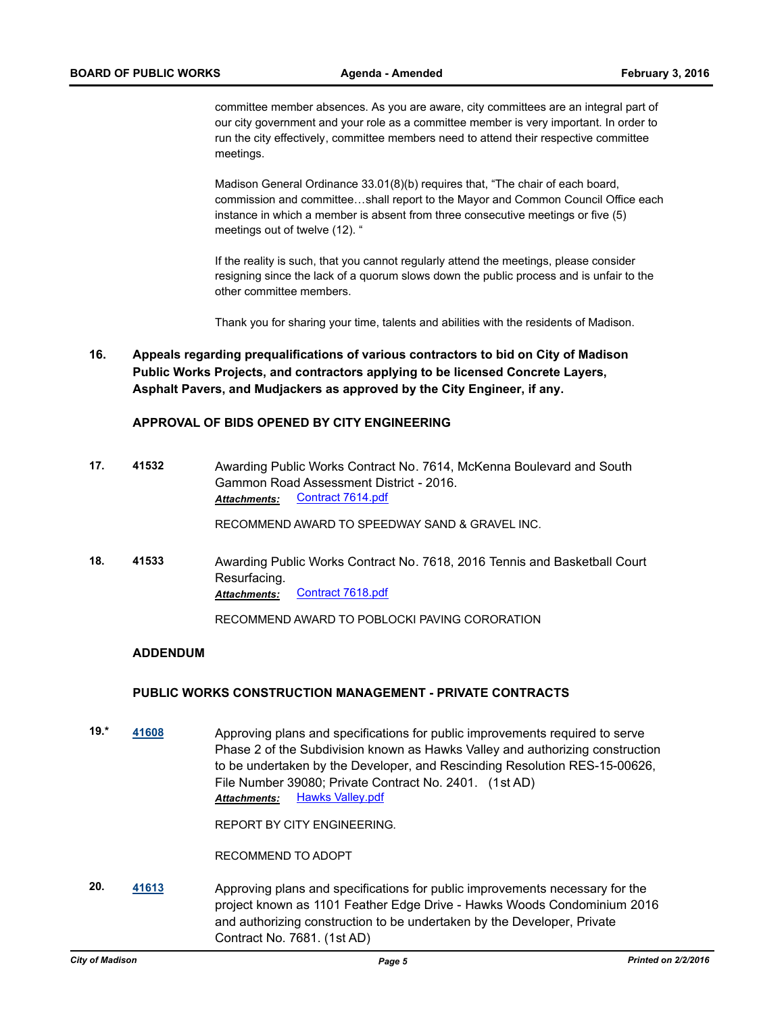committee member absences. As you are aware, city committees are an integral part of our city government and your role as a committee member is very important. In order to run the city effectively, committee members need to attend their respective committee meetings.

Madison General Ordinance 33.01(8)(b) requires that, "The chair of each board, commission and committee…shall report to the Mayor and Common Council Office each instance in which a member is absent from three consecutive meetings or five (5) meetings out of twelve (12). "

If the reality is such, that you cannot regularly attend the meetings, please consider resigning since the lack of a quorum slows down the public process and is unfair to the other committee members.

Thank you for sharing your time, talents and abilities with the residents of Madison.

**16. Appeals regarding prequalifications of various contractors to bid on City of Madison Public Works Projects, and contractors applying to be licensed Concrete Layers, Asphalt Pavers, and Mudjackers as approved by the City Engineer, if any.**

#### **APPROVAL OF BIDS OPENED BY CITY ENGINEERING**

**17. 41532** Awarding Public Works Contract No. 7614, McKenna Boulevard and South Gammon Road Assessment District - 2016. Attachments: [Contract 7614.pdf](http://madison.legistar.com/gateway.aspx?M=F&ID=1baf1546-21db-48b7-8945-5341181f5d38.pdf)

RECOMMEND AWARD TO SPEEDWAY SAND & GRAVEL INC.

**18. 41533** Awarding Public Works Contract No. 7618, 2016 Tennis and Basketball Court Resurfacing. *Attachments:* [Contract 7618.pdf](http://madison.legistar.com/gateway.aspx?M=F&ID=58e10d7e-acd2-496f-90e9-01d6a56124ca.pdf)

RECOMMEND AWARD TO POBLOCKI PAVING CORORATION

#### **ADDENDUM**

#### **PUBLIC WORKS CONSTRUCTION MANAGEMENT - PRIVATE CONTRACTS**

**19.\* [41608](http://madison.legistar.com/gateway.aspx?m=l&id=/matter.aspx?key=45987)** Approving plans and specifications for public improvements required to serve Phase 2 of the Subdivision known as Hawks Valley and authorizing construction to be undertaken by the Developer, and Rescinding Resolution RES-15-00626, File Number 39080; Private Contract No. 2401. (1st AD) **Attachments:** [Hawks Valley.pdf](http://madison.legistar.com/gateway.aspx?M=F&ID=86ee8504-2a71-4c61-b329-d2f654c0a521.pdf)

REPORT BY CITY ENGINEERING.

RECOMMEND TO ADOPT

**20. [41613](http://madison.legistar.com/gateway.aspx?m=l&id=/matter.aspx?key=45992)** Approving plans and specifications for public improvements necessary for the project known as 1101 Feather Edge Drive - Hawks Woods Condominium 2016 and authorizing construction to be undertaken by the Developer, Private Contract No. 7681. (1st AD)